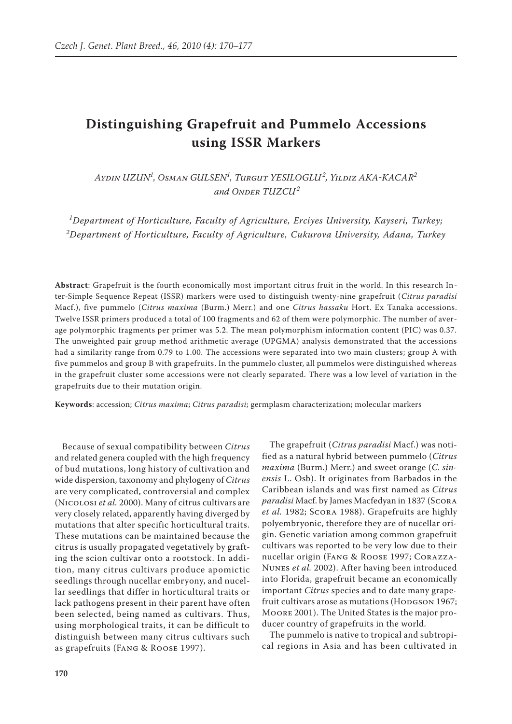# **Distinguishing Grapefruit and Pummelo Accessions using ISSR Markers**

*Aydin Uzun<sup>1</sup> , Osman Gulsen<sup>1</sup> , Turgut Yesiloglu <sup>2</sup> , Yildiz Aka-Kacar<sup>2</sup>* and ONDER TUZCU<sup>2</sup>

*1 Department of Horticulture, Faculty of Agriculture, Erciyes University, Kayseri, Turkey; 2 Department of Horticulture, Faculty of Agriculture, Cukurova University, Adana, Turkey*

**Abstract**: Grapefruit is the fourth economically most important citrus fruit in the world. In this research Inter-Simple Sequence Repeat (ISSR) markers were used to distinguish twenty-nine grapefruit (*Citrus paradisi* Macf.), five pummelo (*Citrus maxima* (Burm.) Merr.) and one *Citrus hassaku* Hort. Ex Tanaka accessions. Twelve ISSR primers produced a total of 100 fragments and 62 of them were polymorphic. The number of average polymorphic fragments per primer was 5.2. The mean polymorphism information content (PIC) was 0.37. The unweighted pair group method arithmetic average (UPGMA) analysis demonstrated that the accessions had a similarity range from 0.79 to 1.00. The accessions were separated into two main clusters; group A with five pummelos and group B with grapefruits. In the pummelo cluster, all pummelos were distinguished whereas in the grapefruit cluster some accessions were not clearly separated. There was a low level of variation in the grapefruits due to their mutation origin.

**Keywords**: accession; *Citrus maxima*; *Citrus paradisi*; germplasm characterization; molecular markers

Because of sexual compatibility between *Citrus* and related genera coupled with the high frequency of bud mutations, long history of cultivation and wide dispersion, taxonomy and phylogeny of *Citrus* are very complicated, controversial and complex (Nicolosi *et al.* 2000). Many of citrus cultivars are very closely related, apparently having diverged by mutations that alter specific horticultural traits. These mutations can be maintained because the citrus is usually propagated vegetatively by grafting the scion cultivar onto a rootstock. In addition, many citrus cultivars produce apomictic seedlings through nucellar embryony, and nucellar seedlings that differ in horticultural traits or lack pathogens present in their parent have often been selected, being named as cultivars. Thus, using morphological traits, it can be difficult to distinguish between many citrus cultivars such as grapefruits (Fang & Roose 1997).

The grapefruit (*Citrus paradisi* Macf.) was notified as a natural hybrid between pummelo (*Citrus maxima* (Burm.) Merr.) and sweet orange (*C. sinensis* L. Osb). It originates from Barbados in the Caribbean islands and was first named as *Citrus paradisi* Macf. by James Macfedyan in 1837 (Scora *et al.* 1982; Scora 1988). Grapefruits are highly polyembryonic, therefore they are of nucellar origin. Genetic variation among common grapefruit cultivars was reported to be very low due to their nucellar origin (Fang & Roose 1997; Corazza-Nunes *et al.* 2002). After having been introduced into Florida, grapefruit became an economically important *Citrus* species and to date many grapefruit cultivars arose as mutations (HODGSON 1967; Moore 2001). The United States is the major producer country of grapefruits in the world.

The pummelo is native to tropical and subtropical regions in Asia and has been cultivated in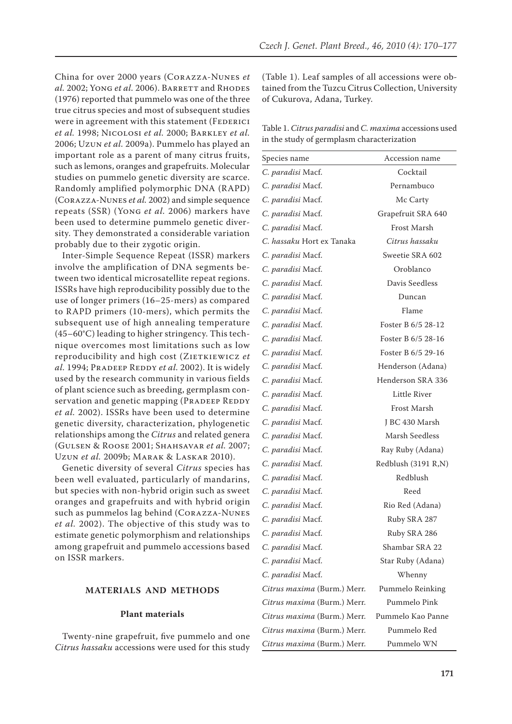China for over 2000 years (Corazza-Nunes *et al.* 2002; Yong *et al.* 2006). BARRETT and RHODES (1976) reported that pummelo was one of the three true citrus species and most of subsequent studies were in agreement with this statement (FEDERICI *et al.* 1998; Nicolosi *et al.* 2000; Barkley *et al.* 2006; Uzun *et al.* 2009a). Pummelo has played an important role as a parent of many citrus fruits, such as lemons, oranges and grapefruits. Molecular studies on pummelo genetic diversity are scarce. Randomly amplified polymorphic DNA (RAPD) (Corazza-Nunes *et al.* 2002) and simple sequence repeats (SSR) (Yong *et al.* 2006) markers have been used to determine pummelo genetic diversity. They demonstrated a considerable variation probably due to their zygotic origin.

Inter-Simple Sequence Repeat (ISSR) markers involve the amplification of DNA segments between two identical microsatellite repeat regions. ISSRs have high reproducibility possibly due to the use of longer primers (16–25-mers) as compared to RAPD primers (10-mers), which permits the subsequent use of high annealing temperature (45–60°C) leading to higher stringency. This technique overcomes most limitations such as low reproducibility and high cost (ZIETKIEWICZ et *al.* 1994; Pradeep Reddy *et al.* 2002). It is widely used by the research community in various fields of plant science such as breeding, germplasm conservation and genetic mapping (PRADEEP REDDY *et al.* 2002). ISSRs have been used to determine genetic diversity, characterization, phylogenetic relationships among the *Citrus* and related genera (Gulsen & Roose 2001; Shahsavar *et al.* 2007; Uzun *et al.* 2009b; Marak & Laskar 2010).

Genetic diversity of several *Citrus* species has been well evaluated, particularly of mandarins, but species with non-hybrid origin such as sweet oranges and grapefruits and with hybrid origin such as pummelos lag behind (Corazza-Nunes *et al.* 2002). The objective of this study was to estimate genetic polymorphism and relationships among grapefruit and pummelo accessions based on ISSR markers.

# **MATERIALS AND METHODS**

# **Plant materials**

Twenty-nine grapefruit, five pummelo and one *Citrus hassaku* accessions were used for this study (Table 1). Leaf samples of all accessions were obtained from the Tuzcu Citrus Collection, University of Cukurova, Adana, Turkey.

Table 1. *Citrus paradisi* and *C. maxima* accessions used in the study of germplasm characterization

| Species name                | Accession name      |
|-----------------------------|---------------------|
| C. paradisi Macf.           | Cocktail            |
| C. paradisi Macf.           | Pernambuco          |
| C. paradisi Macf.           | Mc Carty            |
| C. paradisi Macf.           | Grapefruit SRA 640  |
| C. paradisi Macf.           | Frost Marsh         |
| C. hassaku Hort ex Tanaka   | Citrus hassaku      |
| C. paradisi Macf.           | Sweetie SRA 602     |
| C. paradisi Macf.           | Oroblanco           |
| C. paradisi Macf.           | Davis Seedless      |
| C. paradisi Macf.           | Duncan              |
| C. paradisi Macf.           | Flame               |
| C. paradisi Macf.           | Foster B 6/5 28-12  |
| C. paradisi Macf.           | Foster B 6/5 28-16  |
| C. paradisi Macf.           | Foster B 6/5 29-16  |
| C. paradisi Macf.           | Henderson (Adana)   |
| C. paradisi Macf.           | Henderson SRA 336   |
| C. paradisi Macf.           | Little River        |
| C. paradisi Macf.           | Frost Marsh         |
| C. paradisi Macf.           | J BC 430 Marsh      |
| C. paradisi Macf.           | Marsh Seedless      |
| C. paradisi Macf.           | Ray Ruby (Adana)    |
| C. paradisi Macf.           | Redblush (3191 R,N) |
| C. paradisi Macf.           | Redblush            |
| C. paradisi Macf.           | Reed                |
| C. paradisi Macf.           | Rio Red (Adana)     |
| C. paradisi Macf.           | Ruby SRA 287        |
| C. paradisi Macf.           | Ruby SRA 286        |
| C. paradisi Macf.           | Shambar SRA 22      |
| C. paradisi Macf.           | Star Ruby (Adana)   |
| C. paradisi Macf.           | Whenny              |
| Citrus maxima (Burm.) Merr. | Pummelo Reinking    |
| Citrus maxima (Burm.) Merr. | Pummelo Pink        |
| Citrus maxima (Burm.) Merr. | Pummelo Kao Panne   |
| Citrus maxima (Burm.) Merr. | Pummelo Red         |
| Citrus maxima (Burm.) Merr. | Pummelo WN          |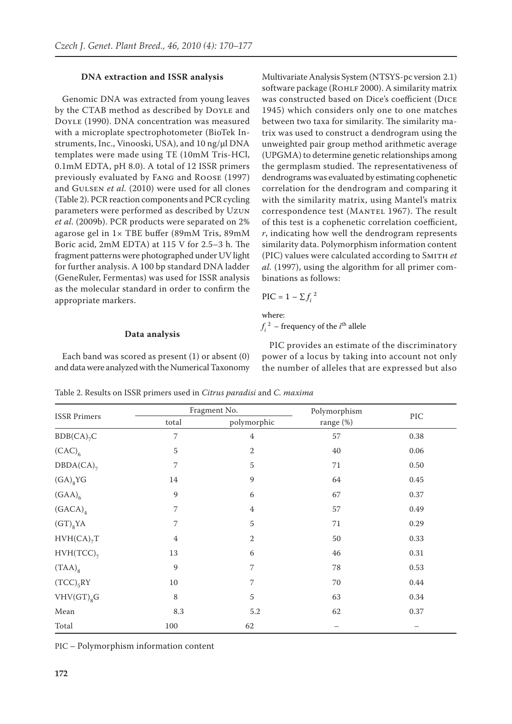## **DNA extraction and ISSR analysis**

Genomic DNA was extracted from young leaves by the CTAB method as described by DOYLE and Doyle (1990). DNA concentration was measured with a microplate spectrophotometer (BioTek Instruments, Inc., Vinooski, USA), and 10 ng/μl DNA templates were made using TE (10mM Tris-HCl, 0.1mM EDTA, pH 8.0). A total of 12 ISSR primers previously evaluated by Fang and Roose (1997) and Gulsen *et al.* (2010) were used for all clones (Table 2). PCR reaction components and PCR cycling parameters were performed as described by Uzun *et al*. (2009b). PCR products were separated on 2% agarose gel in 1× TBE buffer (89mM Tris, 89mM Boric acid, 2mM EDTA) at 115 V for 2.5–3 h. The fragment patterns were photographed under UV light for further analysis. A 100 bp standard DNA ladder (GeneRuler, Fermentas) was used for ISSR analysis as the molecular standard in order to confirm the appropriate markers.

#### **Data analysis**

Each band was scored as present (1) or absent (0) and data were analyzed with the Numerical Taxonomy

Multivariate Analysis System (NTSYS-pc version 2.1) software package (ROHLF 2000). A similarity matrix was constructed based on Dice's coefficient (Dice 1945) which considers only one to one matches between two taxa for similarity. The similarity matrix was used to construct a dendrogram using the unweighted pair group method arithmetic average (UPGMA) to determine genetic relationships among the germplasm studied. The representativeness of dendrograms was evaluated by estimating cophenetic correlation for the dendrogram and comparing it with the similarity matrix, using Mantel's matrix correspondence test (MANTEL 1967). The result of this test is a cophenetic correlation coefficient, *r*, indicating how well the dendrogram represents similarity data. Polymorphism information content (PIC) values were calculated according to Smith *et al.* (1997), using the algorithm for all primer combinations as follows:

$$
\text{PIC} = 1 - \sum f_i^2
$$

where:

 $f_i^2$  – frequency of the  $i^{\text{th}}$  allele

PIC provides an estimate of the discriminatory power of a locus by taking into account not only the number of alleles that are expressed but also

Table 2. Results on ISSR primers used in *Citrus paradisi* and *C. maxima*

| <b>ISSR</b> Primers    | Fragment No.   |                | Polymorphism |            |
|------------------------|----------------|----------------|--------------|------------|
|                        | total          | polymorphic    | range (%)    | $\rm{PIC}$ |
| $BDB(CA)_{7}C$         | 7              | $\overline{4}$ | 57           | 0.38       |
| $(CAC)_{6}$            | 5              | $\mathbf{2}$   | 40           | 0.06       |
| $DBDA(CA)_{7}$         | 7              | 5              | 71           | 0.50       |
| $(GA)_{8}YG$           | 14             | 9              | 64           | 0.45       |
| $(GAA)_{6}$            | 9              | 6              | 67           | 0.37       |
| (GACA) <sub>4</sub>    | 7              | $\overline{4}$ | 57           | 0.49       |
| $(GT)_{8}YA$           | 7              | 5              | $71\,$       | 0.29       |
| HVH(CA) <sub>7</sub> T | $\overline{4}$ | 2              | 50           | 0.33       |
| $HVH(TCC)_{7}$         | $13\,$         | 6              | 46           | 0.31       |
| $(TAA)_{8}$            | 9              | 7              | 78           | 0.53       |
| $(TCC)_{5}RY$          | 10             | 7              | $70\,$       | 0.44       |
| $VHV(GT)_{8}G$         | $\,8\,$        | $\overline{5}$ | 63           | 0.34       |
| Mean                   | 8.3            | 5.2            | 62           | 0.37       |
| Total                  | 100            | 62             |              |            |

PIC – Polymorphism information content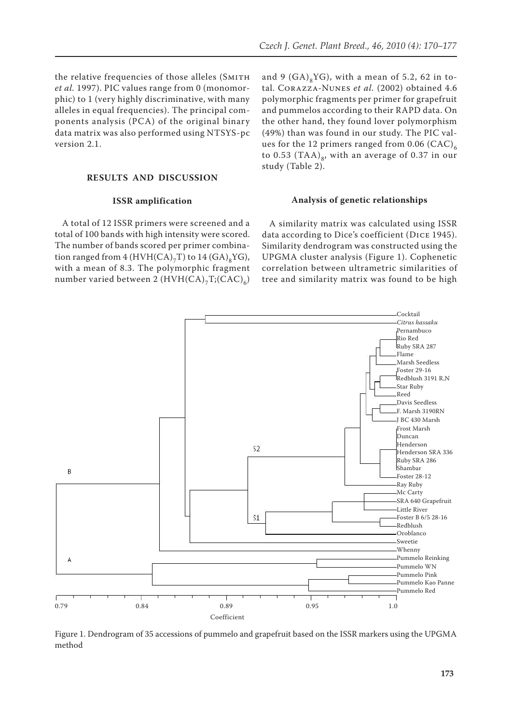the relative frequencies of those alleles (SMITH *et al.* 1997). PIC values range from 0 (monomorphic) to 1 (very highly discriminative, with many alleles in equal frequencies). The principal components analysis (PCA) of the original binary data matrix was also performed using NTSYS-pc version 2.1.

## **RESULTS AND DISCUSSION**

# **ISSR amplification**

A total of 12 ISSR primers were screened and a total of 100 bands with high intensity were scored. The number of bands scored per primer combination ranged from  $4$  (HVH(CA)<sub>7</sub>T) to  $14$  (GA)<sub>8</sub>YG), with a mean of 8.3. The polymorphic fragment number varied between 2  $(HVH(CA)_{7}T;(CAC)_{6})$ 

and 9  $(GA)_{8}YG$ , with a mean of 5.2, 62 in total. Corazza-Nunes *et al.* (2002) obtained 4.6 polymorphic fragments per primer for grapefruit and pummelos according to their RAPD data. On the other hand, they found lover polymorphism (49%) than was found in our study. The PIC values for the 12 primers ranged from 0.06  $(CAC)_{6}$ to 0.53 (TAA)<sub>8</sub>, with an average of 0.37 in our study (Table 2).

#### **Analysis of genetic relationships**

A similarity matrix was calculated using ISSR data according to Dice's coefficient (Dice 1945). Similarity dendrogram was constructed using the UPGMA cluster analysis (Figure 1). Cophenetic correlation between ultrametric similarities of tree and similarity matrix was found to be high



Figure 1. Dendrogram of 35 accessions of pummelo and grapefruit based on the ISSR markers using the UPGMA method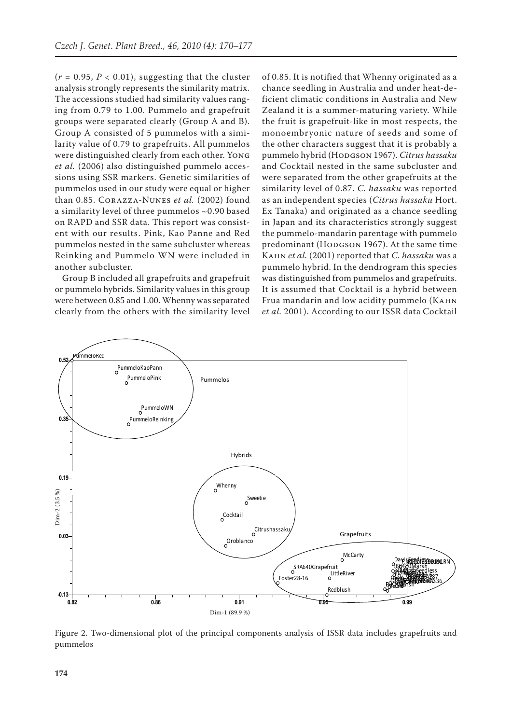$(r = 0.95, P < 0.01)$ , suggesting that the cluster analysis strongly represents the similarity matrix. The accessions studied had similarity values ranging from 0.79 to 1.00. Pummelo and grapefruit groups were separated clearly (Group A and B). Group A consisted of 5 pummelos with a similarity value of 0.79 to grapefruits. All pummelos were distinguished clearly from each other. Yong *et al.* (2006) also distinguished pummelo accessions using SSR markers. Genetic similarities of pummelos used in our study were equal or higher than 0.85. Corazza-Nunes *et al.* (2002) found a similarity level of three pummelos ~0.90 based on RAPD and SSR data. This report was consistent with our results. Pink, Kao Panne and Red pummelos nested in the same subcluster whereas Reinking and Pummelo WN were included in another subcluster.

Group B included all grapefruits and grapefruit or pummelo hybrids. Similarity values in this group were between 0.85 and 1.00. Whenny was separated clearly from the others with the similarity level of 0.85. It is notified that Whenny originated as a chance seedling in Australia and under heat-deficient climatic conditions in Australia and New Zealand it is a summer-maturing variety. While the fruit is grapefruit-like in most respects, the monoembryonic nature of seeds and some of the other characters suggest that it is probably a pummelo hybrid (HODGSON 1967). Citrus hassaku and Cocktail nested in the same subcluster and were separated from the other grapefruits at the similarity level of 0.87. *C. hassaku* was reported as an independent species (*Citrus hassaku* Hort. Ex Tanaka) and originated as a chance seedling in Japan and its characteristics strongly suggest the pummelo-mandarin parentage with pummelo predominant (HODGSON 1967). At the same time Kahn *et al.* (2001) reported that *C. hassaku* was a pummelo hybrid. In the dendrogram this species was distinguished from pummelos and grapefruits. It is assumed that Cocktail is a hybrid between Frua mandarin and low acidity pummelo (Kahn *et al.* 2001). According to our ISSR data Cocktail



Figure 2. Two-dimensional plot of the principal components analysis of ISSR data includes grapefruits and pummelos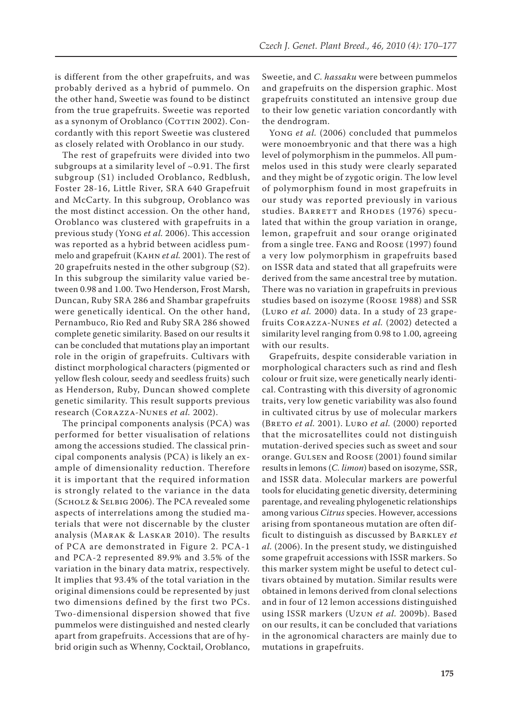is different from the other grapefruits, and was probably derived as a hybrid of pummelo. On the other hand, Sweetie was found to be distinct from the true grapefruits. Sweetie was reported as a synonym of Oroblanco (COTTIN 2002). Concordantly with this report Sweetie was clustered as closely related with Oroblanco in our study.

The rest of grapefruits were divided into two subgroups at a similarity level of  $\sim$ 0.91. The first subgroup (S1) included Oroblanco, Redblush, Foster 28-16, Little River, SRA 640 Grapefruit and McCarty. In this subgroup, Oroblanco was the most distinct accession. On the other hand, Oroblanco was clustered with grapefruits in a previous study (Yong *et al.* 2006). This accession was reported as a hybrid between acidless pummelo and grapefruit (Kahn *et al.* 2001). The rest of 20 grapefruits nested in the other subgroup (S2). In this subgroup the similarity value varied between 0.98 and 1.00. Two Henderson, Frost Marsh, Duncan, Ruby SRA 286 and Shambar grapefruits were genetically identical. On the other hand, Pernambuco, Rio Red and Ruby SRA 286 showed complete genetic similarity. Based on our results it can be concluded that mutations play an important role in the origin of grapefruits. Cultivars with distinct morphological characters (pigmented or yellow flesh colour, seedy and seedless fruits) such as Henderson, Ruby, Duncan showed complete genetic similarity. This result supports previous research (Corazza-Nunes *et al.* 2002).

The principal components analysis (PCA) was performed for better visualisation of relations among the accessions studied. The classical principal components analysis (PCA) is likely an example of dimensionality reduction. Therefore it is important that the required information is strongly related to the variance in the data (Scholz & Selbig 2006). The PCA revealed some aspects of interrelations among the studied materials that were not discernable by the cluster analysis (Marak & Laskar 2010). The results of PCA are demonstrated in Figure 2. PCA-1 and PCA-2 represented 89.9% and 3.5% of the variation in the binary data matrix, respectively. It implies that 93.4% of the total variation in the original dimensions could be represented by just two dimensions defined by the first two PCs. Two-dimensional dispersion showed that five pummelos were distinguished and nested clearly apart from grapefruits. Accessions that are of hybrid origin such as Whenny, Cocktail, Oroblanco, Sweetie, and *C. hassaku* were between pummelos and grapefruits on the dispersion graphic. Most grapefruits constituted an intensive group due to their low genetic variation concordantly with the dendrogram.

Yong *et al.* (2006) concluded that pummelos were monoembryonic and that there was a high level of polymorphism in the pummelos. All pummelos used in this study were clearly separated and they might be of zygotic origin. The low level of polymorphism found in most grapefruits in our study was reported previously in various studies. BARRETT and RHODES (1976) speculated that within the group variation in orange, lemon, grapefruit and sour orange originated from a single tree. Fang and Roose (1997) found a very low polymorphism in grapefruits based on ISSR data and stated that all grapefruits were derived from the same ancestral tree by mutation. There was no variation in grapefruits in previous studies based on isozyme (Roose 1988) and SSR (Luro *et al.* 2000) data. In a study of 23 grapefruits Corazza-Nunes *et al.* (2002) detected a similarity level ranging from 0.98 to 1.00, agreeing with our results.

Grapefruits, despite considerable variation in morphological characters such as rind and flesh colour or fruit size, were genetically nearly identical. Contrasting with this diversity of agronomic traits, very low genetic variability was also found in cultivated citrus by use of molecular markers (BRETO *et al.* 2001). LURO *et al.* (2000) reported that the microsatellites could not distinguish mutation-derived species such as sweet and sour orange. GULSEN and ROOSE (2001) found similar results in lemons (*C. limon*) based on isozyme, SSR, and ISSR data. Molecular markers are powerful tools for elucidating genetic diversity, determining parentage, and revealing phylogenetic relationships among various *Citrus* species. However, accessions arising from spontaneous mutation are often difficult to distinguish as discussed by Barkley *et al.* (2006). In the present study, we distinguished some grapefruit accessions with ISSR markers. So this marker system might be useful to detect cultivars obtained by mutation. Similar results were obtained in lemons derived from clonal selections and in four of 12 lemon accessions distinguished using ISSR markers (Uzun *et al.* 2009b). Based on our results, it can be concluded that variations in the agronomical characters are mainly due to mutations in grapefruits.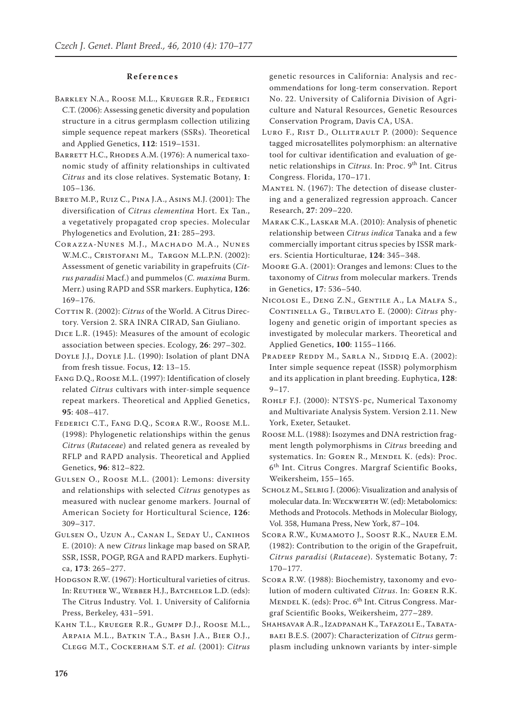### **R e f e r e n c e s**

- Barkley N.A., Roose M.L., Krueger R.R., Federici C.T. (2006): Assessing genetic diversity and population structure in a citrus germplasm collection utilizing simple sequence repeat markers (SSRs). Theoretical and Applied Genetics, **112**: 1519–1531.
- BARRETT H.C., RHODES A.M. (1976): A numerical taxonomic study of affinity relationships in cultivated *Citrus* and its close relatives. Systematic Botany, **1**: 105–136.
- Breto M.P., Ruiz C., Pina J.A., Asins M.J. (2001): The diversification of *Citrus clementina* Hort. Ex Tan., a vegetatively propagated crop species. Molecular Phylogenetics and Evolution, **21**: 285–293.
- Corazza-Nunes M.J., Machado M.A., Nunes W.M.C., Cristofani M., Targon M.L.P.N. (2002): Assessment of genetic variability in grapefruits (*Citrus paradisi* Macf.) and pummelos (*C. maxima* Burm. Merr.) using RAPD and SSR markers. Euphytica, **126**: 169–176.
- COTTIN R. (2002): *Citrus* of the World. A Citrus Directory. Version 2. SRA INRA CIRAD, San Giuliano.
- Dice L.R. (1945): Measures of the amount of ecologic association between species. Ecology, **26**: 297–302.
- Doyle J.J., Doyle J.L. (1990): Isolation of plant DNA from fresh tissue. Focus, **12**: 13–15.
- Fang D.Q., Roose M.L. (1997): Identification of closely related *Citrus* cultivars with inter-simple sequence repeat markers. Theoretical and Applied Genetics, **95**: 408–417.
- Federici C.T., Fang D.Q., Scora R.W., Roose M.L. (1998): Phylogenetic relationships within the genus *Citrus* (*Rutaceae*) and related genera as revealed by RFLP and RAPD analysis. Theoretical and Applied Genetics, **96**: 812–822.
- Gulsen O., Roose M.L. (2001): Lemons: diversity and relationships with selected *Citrus* genotypes as measured with nuclear genome markers. Journal of American Society for Horticultural Science, **126**: 309–317.
- Gulsen O., Uzun A., Canan I., Seday U., Canihos E. (2010): A new *Citrus* linkage map based on SRAP, SSR, ISSR, POGP, RGA and RAPD markers. Euphytica, **173**: 265–277.
- HODGSON R.W. (1967): Horticultural varieties of citrus. In: Reuther W., Webber H.J., Batchelor L.D. (eds): The Citrus Industry. Vol. 1. University of California Press, Berkeley, 431–591.
- Kahn T.L., Krueger R.R., Gumpf D.J., Roose M.L., Arpaia M.L., Batkin T.A., Bash J.A., Bier O.J., Clegg M.T., Cockerham S.T. *et al.* (2001): *Citrus*

genetic resources in California: Analysis and recommendations for long-term conservation. Report No. 22. University of California Division of Agriculture and Natural Resources, Genetic Resources Conservation Program, Davis CA, USA.

- Luro F., Rist D., Ollitrault P. (2000): Sequence tagged microsatellites polymorphism: an alternative tool for cultivar identification and evaluation of genetic relationships in *Citrus*. In: Proc. 9<sup>th</sup> Int. Citrus Congress. Florida, 170–171.
- Mantel N. (1967): The detection of disease clustering and a generalized regression approach. Cancer Research, **27**: 209–220.
- Marak C.K., Laskar M.A. (2010): Analysis of phenetic relationship between *Citrus indica* Tanaka and a few commercially important citrus species by ISSR markers. Scientia Horticulturae, **124**: 345–348.
- Moore G.A. (2001): Oranges and lemons: Clues to the taxonomy of *Citrus* from molecular markers. Trends in Genetics, **17**: 536–540.
- Nicolosi E., Deng Z.N., Gentile A., La Malfa S., Continella G., Tribulato E. (2000): *Citrus* phylogeny and genetic origin of important species as investigated by molecular markers. Theoretical and Applied Genetics, **100**: 1155–1166.
- PRADEEP REDDY M., SARLA N., SIDDIQ E.A. (2002): Inter simple sequence repeat (ISSR) polymorphism and its application in plant breeding. Euphytica, **128**:  $9 - 17.$
- ROHLF F.J. (2000): NTSYS-pc, Numerical Taxonomy and Multivariate Analysis System. Version 2.11. New York, Exeter, Setauket.
- Roose M.L. (1988): Isozymes and DNA restriction fragment length polymorphisms in *Citrus* breeding and systematics. In: GOREN R., MENDEL K. (eds): Proc. 6th Int. Citrus Congres. Margraf Scientific Books, Weikersheim, 155–165.
- SCHOLZ M., SELBIG J. (2006): Visualization and analysis of molecular data. In: Weckwerth W. (ed): Metabolomics: Methods and Protocols. Methods in Molecular Biology, Vol. 358, Humana Press, New York, 87–104.
- Scora R.W., Kumamoto J., Soost R.K., Nauer E.M. (1982): Contribution to the origin of the Grapefruit, *Citrus paradisi* (*Rutaceae*). Systematic Botany, **7**: 170–177.
- Scora R.W. (1988): Biochemistry, taxonomy and evolution of modern cultivated *Citrus*. In: Goren R.K. MENDEL K. (eds): Proc. 6<sup>th</sup> Int. Citrus Congress. Margraf Scientific Books, Weikersheim, 277–289.
- Shahsavar A.R., Izadpanah K., Tafazoli E., Tabatabaei B.E.S. (2007): Characterization of *Citrus* germplasm including unknown variants by inter-simple